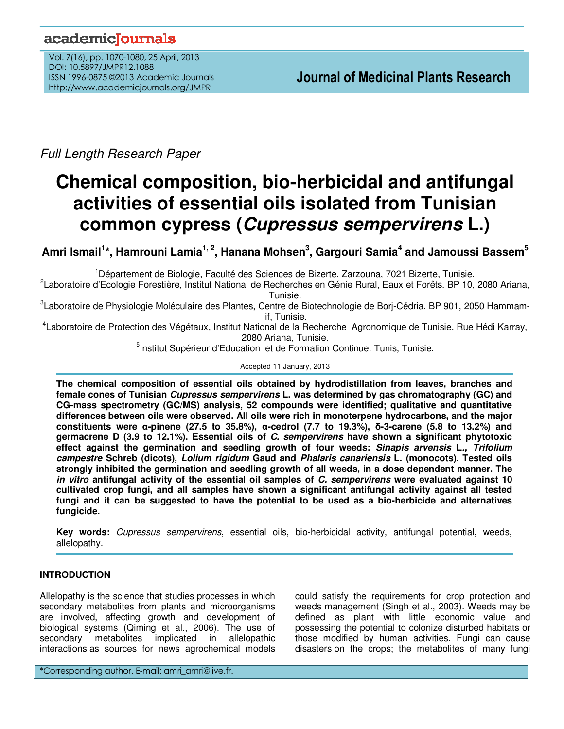# academicoournals

Vol. 7(16), pp. 1070-1080, 25 April, 2013 DOI: 10.5897/JMPR12.1088 ISSN 1996-0875 ©2013 Academic Journals http://www.academicjournals.org/JMPR

Full Length Research Paper

# **Chemical composition, bio-herbicidal and antifungal activities of essential oils isolated from Tunisian common cypress (Cupressus sempervirens L.)**

**Amri Ismail<sup>1</sup> \*, Hamrouni Lamia1, 2, Hanana Mohsen<sup>3</sup> , Gargouri Samia<sup>4</sup> and Jamoussi Bassem<sup>5</sup>**

<sup>1</sup>Département de Biologie, Faculté des Sciences de Bizerte. Zarzouna, 7021 Bizerte, Tunisie.

2 Laboratoire d'Ecologie Forestière, Institut National de Recherches en Génie Rural, Eaux et Forêts. BP 10, 2080 Ariana, Tunisie.

<sup>3</sup>Laboratoire de Physiologie Moléculaire des Plantes, Centre de Biotechnologie de Borj-Cédria. BP 901, 2050 Hammamlif, Tunisie.

4 Laboratoire de Protection des Végétaux, Institut National de la Recherche Agronomique de Tunisie. Rue Hédi Karray, 2080 Ariana, Tunisie.

<sup>5</sup>Institut Supérieur d'Education et de Formation Continue. Tunis, Tunisie.

Accepted 11 January, 2013

**The chemical composition of essential oils obtained by hydrodistillation from leaves, branches and female cones of Tunisian Cupressus sempervirens L. was determined by gas chromatography (GC) and CG-mass spectrometry (GC/MS) analysis, 52 compounds were identified; qualitative and quantitative differences between oils were observed. All oils were rich in monoterpene hydrocarbons, and the major constituents were α-pinene (27.5 to 35.8%), α-cedrol (7.7 to 19.3%), δ-3-carene (5.8 to 13.2%) and germacrene D (3.9 to 12.1%). Essential oils of C. sempervirens have shown a significant phytotoxic effect against the germination and seedling growth of four weeds: Sinapis arvensis L., Trifolium campestre Schreb (dicots), Lolium rigidum Gaud and Phalaris canariensis L. (monocots). Tested oils strongly inhibited the germination and seedling growth of all weeds, in a dose dependent manner. The in vitro antifungal activity of the essential oil samples of C. sempervirens were evaluated against 10 cultivated crop fungi, and all samples have shown a significant antifungal activity against all tested fungi and it can be suggested to have the potential to be used as a bio-herbicide and alternatives fungicide.** 

**Key words:** Cupressus sempervirens, essential oils, bio-herbicidal activity, antifungal potential, weeds, allelopathy.

## **INTRODUCTION**

Allelopathy is the science that studies processes in which secondary metabolites from plants and microorganisms are involved, affecting growth and development of biological systems (Qiming et al., 2006). The use of secondary metabolites implicated in allelopathic interactions as sources for news agrochemical models

could satisfy the requirements for crop protection and weeds management (Singh et al., 2003). Weeds may be defined as plant with little economic value and possessing the potential to colonize disturbed habitats or those modified by human activities. Fungi can cause disasters on the crops; the metabolites of many fungi

\*Corresponding author. E-mail: amri\_amri@live.fr.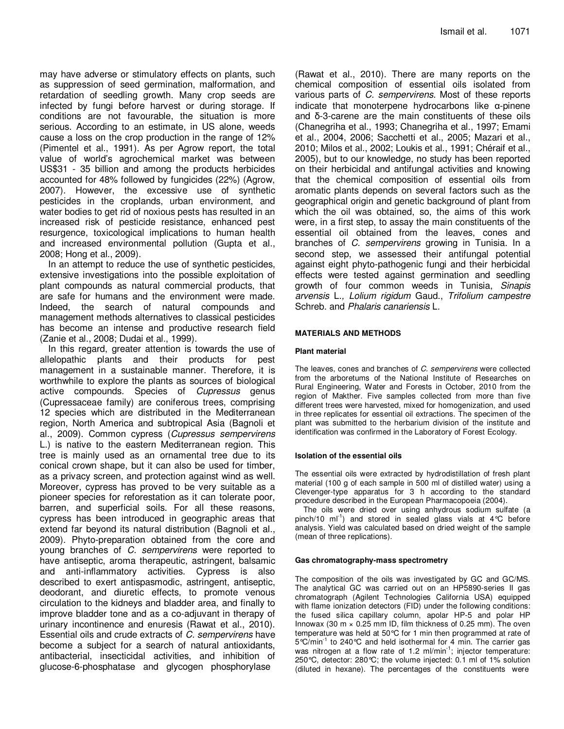may have adverse or stimulatory effects on plants, such as suppression of seed germination, malformation, and retardation of seedling growth. Many crop seeds are infected by fungi before harvest or during storage. If conditions are not favourable, the situation is more serious. According to an estimate, in US alone, weeds cause a loss on the crop production in the range of 12% (Pimentel et al., 1991). As per Agrow report, the total value of world's agrochemical market was between US\$31 - 35 billion and among the products herbicides accounted for 48% followed by fungicides (22%) (Agrow, 2007). However, the excessive use of synthetic pesticides in the croplands, urban environment, and water bodies to get rid of noxious pests has resulted in an increased risk of pesticide resistance, enhanced pest resurgence, toxicological implications to human health and increased environmental pollution (Gupta et al., 2008; Hong et al., 2009).

In an attempt to reduce the use of synthetic pesticides, extensive investigations into the possible exploitation of plant compounds as natural commercial products, that are safe for humans and the environment were made. Indeed, the search of natural compounds and management methods alternatives to classical pesticides has become an intense and productive research field (Zanie et al., 2008; Dudai et al., 1999).

In this regard, greater attention is towards the use of allelopathic plants and their products for pest management in a sustainable manner. Therefore, it is worthwhile to explore the plants as sources of biological active compounds. Species of *Cupressus* genus (Cupressaceae family) are coniferous trees, comprising 12 species which are distributed in the Mediterranean region, North America and subtropical Asia (Bagnoli et al., 2009). Common cypress (Cupressus sempervirens L.) is native to the eastern Mediterranean region. This tree is mainly used as an ornamental tree due to its conical crown shape, but it can also be used for timber, as a privacy screen, and protection against wind as well. Moreover, cypress has proved to be very suitable as a pioneer species for reforestation as it can tolerate poor, barren, and superficial soils. For all these reasons, cypress has been introduced in geographic areas that extend far beyond its natural distribution (Bagnoli et al., 2009). Phyto-preparation obtained from the core and young branches of C. sempervirens were reported to have antiseptic, aroma therapeutic, astringent, balsamic and anti-inflammatory activities. Cypress is also described to exert antispasmodic, astringent, antiseptic, deodorant, and diuretic effects, to promote venous circulation to the kidneys and bladder area, and finally to improve bladder tone and as a co-adjuvant in therapy of urinary incontinence and enuresis (Rawat et al., 2010). Essential oils and crude extracts of C. sempervirens have become a subject for a search of natural antioxidants, antibacterial, insecticidal activities, and inhibition of glucose-6-phosphatase and glycogen phosphorylase

(Rawat et al., 2010). There are many reports on the chemical composition of essential oils isolated from various parts of C. sempervirens. Most of these reports indicate that monoterpene hydrocarbons like  $\alpha$ -pinene and δ-3-carene are the main constituents of these oils (Chanegriha et al., 1993; Chanegriha et al., 1997; Emami et al., 2004, 2006; Sacchetti et al., 2005; Mazari et al., 2010; Milos et al., 2002; Loukis et al., 1991; Chéraif et al., 2005), but to our knowledge, no study has been reported on their herbicidal and antifungal activities and knowing that the chemical composition of essential oils from aromatic plants depends on several factors such as the geographical origin and genetic background of plant from which the oil was obtained, so, the aims of this work were, in a first step, to assay the main constituents of the essential oil obtained from the leaves, cones and branches of C. sempervirens growing in Tunisia. In a second step, we assessed their antifungal potential against eight phyto-pathogenic fungi and their herbicidal effects were tested against germination and seedling growth of four common weeds in Tunisia, Sinapis arvensis L., Lolium rigidum Gaud., Trifolium campestre Schreb. and Phalaris canariensis L.

#### **MATERIALS AND METHODS**

#### **Plant material**

The leaves, cones and branches of C. sempervirens were collected from the arboretums of the National Institute of Researches on Rural Engineering, Water and Forests in October, 2010 from the region of Makther. Five samples collected from more than five different trees were harvested, mixed for homogenization, and used in three replicates for essential oil extractions. The specimen of the plant was submitted to the herbarium division of the institute and identification was confirmed in the Laboratory of Forest Ecology.

#### **Isolation of the essential oils**

The essential oils were extracted by hydrodistillation of fresh plant material (100 g of each sample in 500 ml of distilled water) using a Clevenger-type apparatus for 3 h according to the standard procedure described in the European Pharmacopoeia (2004).

The oils were dried over using anhydrous sodium sulfate (a pinch/10 ml<sup>-1</sup>) and stored in sealed glass vials at  $4^{\circ}$ C before analysis. Yield was calculated based on dried weight of the sample (mean of three replications).

#### **Gas chromatography-mass spectrometry**

The composition of the oils was investigated by GC and GC/MS. The analytical GC was carried out on an HP5890-series II gas chromatograph (Agilent Technologies California USA) equipped with flame ionization detectors (FID) under the following conditions: the fused silica capillary column, apolar HP-5 and polar HP Innowax (30 m  $\times$  0.25 mm ID, film thickness of 0.25 mm). The oven temperature was held at 50°C for 1 min then programmed at rate of 5°C/min-1 to 240°C and held isothermal for 4 min. The carrier gas was nitrogen at a flow rate of 1.2  $m/min^{-1}$ ; injector temperature: 250°C, detector: 280°C; the volume injected: 0.1 ml of 1% solution (diluted in hexane). The percentages of the constituents were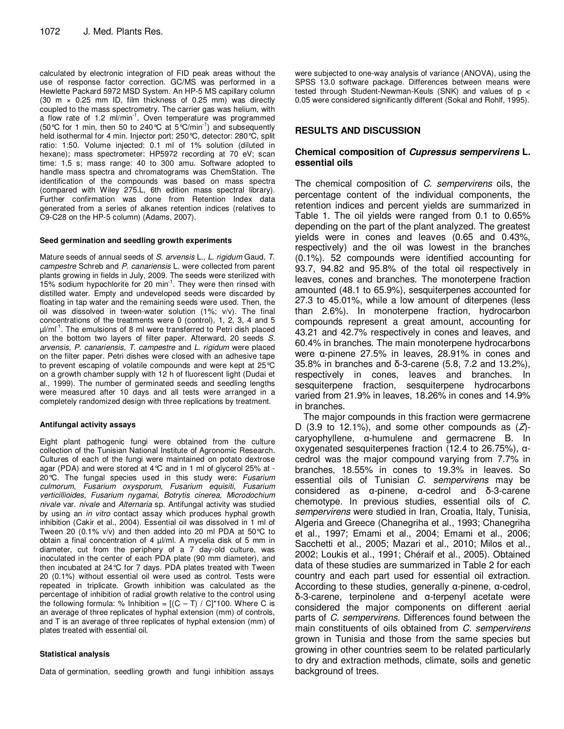calculated by electronic integration of FID peak areas without the use of response factor correction. GC/MS was performed in a Hewlette Packard 5972 MSD System. An HP-5 MS capillary column (30 m  $\times$  0.25 mm ID, film thickness of 0.25 mm) was directly coupled to the mass spectrometry. The carrier gas was helium, with a flow rate of 1.2 ml/min<sup>-1</sup>. Oven temperature was programmed (50°C for 1 min, then 50 to 240°C at 5°C/min-1) and subsequently held isothermal for 4 min. Injector port: 250°C, detector: 280°C, split ratio: 1:50. Volume injected: 0.1 ml of 1% solution (diluted in hexane); mass spectrometer: HP5972 recording at 70 eV; scan time: 1.5 s; mass range: 40 to 300 amu. Software adopted to handle mass spectra and chromatograms was ChemStation. The identification of the compounds was based on mass spectra (compared with Wiley 275.L, 6th edition mass spectral library). Further confirmation was done from Retention Index data generated from a series of alkanes retention indices (relatives to C9-C28 on the HP-5 column) (Adams, 2007).

#### **Seed germination and seedling growth experiments**

Mature seeds of annual seeds of S. arvensis L., L. rigidum Gaud, T. campestre Schreb and P. canariensis L. were collected from parent plants growing in fields in July, 2009. The seeds were sterilized with 15% sodium hypochlorite for 20 min<sup>-1</sup>. They were then rinsed with distilled water. Empty and undeveloped seeds were discarded by floating in tap water and the remaining seeds were used. Then, the oil was dissolved in tween-water solution (1%; v/v). The final concentrations of the treatments were 0 (control), 1, 2, 3, 4 and 5  $\mu$ /ml<sup>-1</sup>. The emulsions of 8 ml were transferred to Petri dish placed on the bottom two layers of filter paper. Afterward, 20 seeds S. arvensis, P. canariensis, T. campestre and L. rigidum were placed on the filter paper. Petri dishes were closed with an adhesive tape to prevent escaping of volatile compounds and were kept at 25°C on a growth chamber supply with 12 h of fluorescent light (Dudai et al., 1999). The number of germinated seeds and seedling lengths were measured after 10 days and all tests were arranged in a completely randomized design with three replications by treatment.

#### **Antifungal activity assays**

Eight plant pathogenic fungi were obtained from the culture collection of the Tunisian National Institute of Agronomic Research. Cultures of each of the fungi were maintained on potato dextrose agar (PDA) and were stored at 4°C and in 1 ml of glycerol 25% at - 20 $\degree$ C. The fungal species used in this study were: Fusarium culmorum, Fusarium oxysporum, Fusarium equisiti, Fusarium verticillioides, Fusarium nygamai, Botrytis cinerea, Microdochium nivale var. nivale and Alternaria sp. Antifungal activity was studied by using an in vitro contact assay which produces hyphal growth inhibition (Cakir et al., 2004). Essential oil was dissolved in 1 ml of Tween 20 (0.1% v/v) and then added into 20 ml PDA at 50°C to obtain a final concentration of 4  $\mu$ /ml. A mycelia disk of 5 mm in diameter, cut from the periphery of a 7 day-old culture, was inoculated in the center of each PDA plate (90 mm diameter), and then incubated at 24°C for 7 days. PDA plates treated with Tween 20 (0.1%) without essential oil were used as control. Tests were repeated in triplicate. Growth inhibition was calculated as the percentage of inhibition of radial growth relative to the control using the following formula: % Inhibition =  $[(C - T) / C]^*100$ . Where C is an average of three replicates of hyphal extension (mm) of controls, and T is an average of three replicates of hyphal extension (mm) of plates treated with essential oil.

#### **Statistical analysis**

Data of germination, seedling growth and fungi inhibition assays

were subjected to one-way analysis of variance (ANOVA), using the SPSS 13.0 software package. Differences between means were tested through Student-Newman-Keuls (SNK) and values of p < 0.05 were considered significantly different (Sokal and Rohlf, 1995).

#### **RESULTS AND DISCUSSION**

#### **Chemical composition of Cupressus sempervirens L. essential oils**

The chemical composition of C. sempervirens oils, the percentage content of the individual components, the retention indices and percent yields are summarized in Table 1. The oil yields were ranged from 0.1 to 0.65% depending on the part of the plant analyzed. The greatest yields were in cones and leaves (0.65 and 0.43%, respectively) and the oil was lowest in the branches (0.1%). 52 compounds were identified accounting for 93.7, 94.82 and 95.8% of the total oil respectively in leaves, cones and branches. The monoterpene fraction amounted (48.1 to 65.9%), sesquiterpenes accounted for 27.3 to 45.01%, while a low amount of diterpenes (less than 2.6%). In monoterpene fraction, hydrocarbon compounds represent a great amount, accounting for 43.21 and 42.7% respectively in cones and leaves, and 60.4% in branches. The main monoterpene hydrocarbons were α-pinene 27.5% in leaves, 28.91% in cones and 35.8% in branches and δ-3-carene (5.8, 7.2 and 13.2%), respectively in cones, leaves and branches. In sesquiterpene fraction, sesquiterpene hydrocarbons varied from 21.9% in leaves, 18.26% in cones and 14.9% in branches.

The major compounds in this fraction were germacrene D (3.9 to 12.1%), and some other compounds as  $(Z)$ caryophyllene, α-humulene and germacrene B. In oxygenated sesquiterpenes fraction (12.4 to 26.75%), αcedrol was the major compound varying from 7.7% in branches, 18.55% in cones to 19.3% in leaves. So essential oils of Tunisian C. sempervirens may be considered as α-pinene, α-cedrol and δ-3-carene chemotype. In previous studies, essential oils of C. sempervirens were studied in Iran, Croatia, Italy, Tunisia, Algeria and Greece (Chanegriha et al., 1993; Chanegriha et al., 1997; Emami et al., 2004; Emami et al., 2006; Sacchetti et al., 2005; Mazari et al., 2010; Milos et al., 2002; Loukis et al., 1991; Chéraif et al., 2005). Obtained data of these studies are summarized in Table 2 for each country and each part used for essential oil extraction. According to these studies, generally α-pinene, α-cedrol, δ-3-carene, terpinolene and α-terpenyl acetate were considered the major components on different aerial parts of C. sempervirens. Differences found between the main constituents of oils obtained from C. sempervirens grown in Tunisia and those from the same species but growing in other countries seem to be related particularly to dry and extraction methods, climate, soils and genetic background of trees.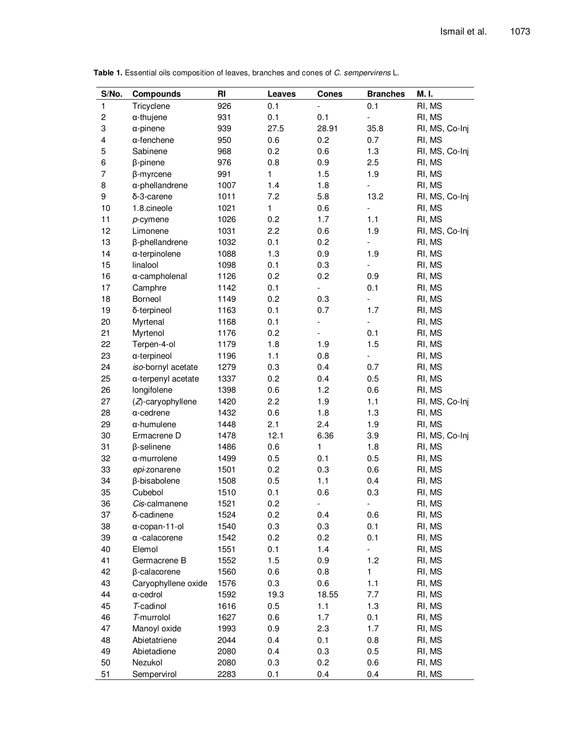| S/No.          | <b>Compounds</b>       | RI   | <b>Leaves</b> | <b>Cones</b>                 | <b>Branches</b>          | M. I.          |
|----------------|------------------------|------|---------------|------------------------------|--------------------------|----------------|
| 1              | Tricyclene             | 926  | 0.1           | $\overline{\phantom{a}}$     | 0.1                      | RI, MS         |
| $\overline{c}$ | $\alpha$ -thujene      | 931  | 0.1           | 0.1                          | $\overline{\phantom{a}}$ | RI, MS         |
| 3              | $\alpha$ -pinene       | 939  | 27.5          | 28.91                        | 35.8                     | RI, MS, Co-Inj |
| 4              | $\alpha$ -fenchene     | 950  | 0.6           | 0.2                          | 0.7                      | RI, MS         |
| 5              | Sabinene               | 968  | 0.2           | 0.6                          | 1.3                      | RI, MS, Co-Inj |
| 6              | $\beta$ -pinene        | 976  | 0.8           | 0.9                          | 2.5                      | RI, MS         |
| $\overline{7}$ | $\beta$ -myrcene       | 991  | 1             | 1.5                          | 1.9                      | RI, MS         |
| 8              | $\alpha$ -phellandrene | 1007 | 1.4           | 1.8                          | $\overline{a}$           | RI, MS         |
| 9              | δ-3-carene             | 1011 | 7.2           | 5.8                          | 13.2                     | RI, MS, Co-Inj |
| 10             | 1.8.cineole            | 1021 | 1             | 0.6                          | $\overline{a}$           | RI, MS         |
| 11             | $p$ -cymene            | 1026 | 0.2           | 1.7                          | 1.1                      | RI, MS         |
| 12             | Limonene               | 1031 | 2.2           | 0.6                          | 1.9                      | RI, MS, Co-Inj |
| 13             | β-phellandrene         | 1032 | 0.1           | 0.2                          | $\overline{a}$           | RI, MS         |
| 14             | α-terpinolene          | 1088 | 1.3           | 0.9                          | 1.9                      | RI, MS         |
| 15             | linalool               | 1098 | 0.1           | 0.3                          | $\blacksquare$           | RI, MS         |
| 16             | α-campholenal          | 1126 | 0.2           | 0.2                          | 0.9                      | RI, MS         |
| 17             | Camphre                | 1142 | 0.1           | $\qquad \qquad \blacksquare$ | 0.1                      | RI, MS         |
| 18             | Borneol                | 1149 | 0.2           | 0.3                          | $\overline{\phantom{0}}$ | RI, MS         |
| 19             | δ-terpineol            | 1163 | 0.1           | 0.7                          | 1.7                      | RI, MS         |
| 20             | Myrtenal               | 1168 | 0.1           | $\overline{a}$               | $\overline{\phantom{a}}$ | RI, MS         |
| 21             | Myrtenol               | 1176 | 0.2           |                              | 0.1                      | RI, MS         |
| 22             | Terpen-4-ol            | 1179 | 1.8           | 1.9                          | 1.5                      | RI, MS         |
| 23             | a-terpineol            | 1196 | 1.1           | 0.8                          | $\overline{\phantom{a}}$ | RI, MS         |
| 24             | iso-bornyl acetate     | 1279 | 0.3           | 0.4                          | 0.7                      | RI, MS         |
| 25             | a-terpenyl acetate     | 1337 | 0.2           | 0.4                          | 0.5                      | RI, MS         |
| 26             | longifolene            | 1398 | 0.6           | 1.2                          | 0.6                      | RI, MS         |
| 27             | (Z)-caryophyllene      | 1420 | 2.2           | 1.9                          | 1.1                      | RI, MS, Co-Inj |
| 28             | $\alpha$ -cedrene      | 1432 | 0.6           | 1.8                          | 1.3                      | RI, MS         |
| 29             | $\alpha$ -humulene     | 1448 | 2.1           | 2.4                          | 1.9                      | RI, MS         |
| 30             | Ermacrene D            | 1478 | 12.1          | 6.36                         | 3.9                      | RI, MS, Co-Inj |
| 31             | β-selinene             | 1486 | 0.6           | 1                            | 1.8                      | RI, MS         |
| 32             | $\alpha$ -murrolene    | 1499 | 0.5           | 0.1                          | 0.5                      | RI, MS         |
| 33             | epi-zonarene           | 1501 | 0.2           | 0.3                          | 0.6                      | RI, MS         |
| 34             | β-bisabolene           | 1508 | 0.5           | 1.1                          | 0.4                      | RI, MS         |
| 35             | Cubebol                | 1510 | 0.1           | 0.6                          | 0.3                      | RI, MS         |
| 36             | Cis-calmanene          | 1521 | 0.2           | Ξ.                           | $\overline{\phantom{a}}$ | RI, MS         |
| 37             | δ-cadinene             | 1524 | 0.2           | 0.4                          | 0.6                      | RI, MS         |
| 38             | α-copan-11-ol          | 1540 | 0.3           | 0.3                          | 0.1                      | RI, MS         |
| 39             | $\alpha$ -calacorene   | 1542 | 0.2           | 0.2                          | 0.1                      | RI, MS         |
| 40             | Elemol                 | 1551 | 0.1           | 1.4                          | -                        | RI, MS         |
| 41             | Germacrene B           | 1552 | 1.5           | 0.9                          | 1.2                      | RI, MS         |
| 42             | β-calacorene           | 1560 | 0.6           | 0.8                          | $\mathbf{1}$             | RI, MS         |
| 43             | Caryophyllene oxide    | 1576 | 0.3           | 0.6                          | 1.1                      | RI, MS         |
| 44             | a-cedrol               | 1592 | 19.3          | 18.55                        | 7.7                      | RI, MS         |
| 45             | T-cadinol              | 1616 | 0.5           | 1.1                          | 1.3                      | RI, MS         |
| 46             | T-murrolol             | 1627 | 0.6           | 1.7                          | 0.1                      | RI, MS         |
| 47             | Manoyl oxide           | 1993 | 0.9           | 2.3                          | 1.7                      | RI, MS         |
| 48             | Abietatriene           | 2044 | 0.4           | 0.1                          | 0.8                      | RI, MS         |
| 49             | Abietadiene            | 2080 | 0.4           | 0.3                          | 0.5                      | RI, MS         |
| 50             | Nezukol                | 2080 | 0.3           | 0.2                          | 0.6                      | RI, MS         |
| 51             | Sempervirol            | 2283 | 0.1           | 0.4                          | 0.4                      | RI, MS         |

**Table 1.** Essential oils composition of leaves, branches and cones of C. sempervirens L.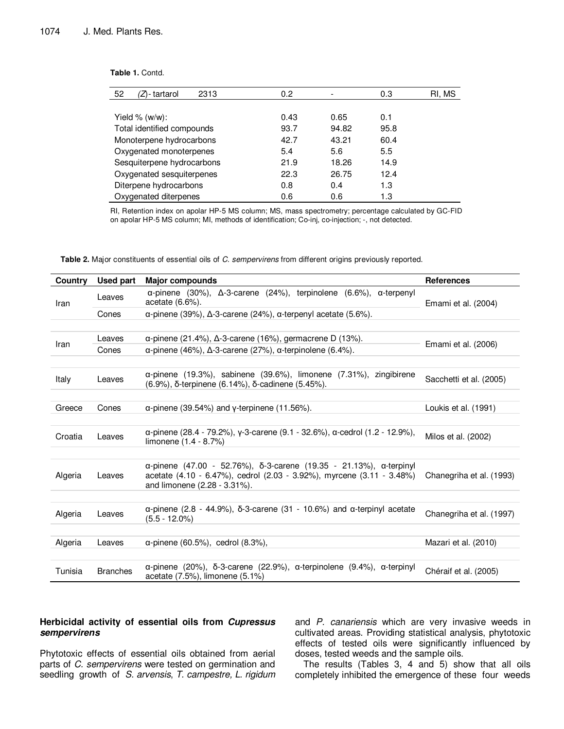| 52<br>2313<br>΄Z)- tartarol | 0.2 <sub>0</sub> |       | 0.3  | RI. MS |
|-----------------------------|------------------|-------|------|--------|
|                             |                  |       |      |        |
| Yield $%$ (w/w):            | 0.43             | 0.65  | 0.1  |        |
| Total identified compounds  | 93.7             | 94.82 | 95.8 |        |
| Monoterpene hydrocarbons    | 42.7             | 43.21 | 60.4 |        |
| Oxygenated monoterpenes     | 5.4              | 5.6   | 5.5  |        |
| Sesquiterpene hydrocarbons  | 21.9             | 18.26 | 14.9 |        |
| Oxygenated sesquiterpenes   | 22.3             | 26.75 | 12.4 |        |
| Diterpene hydrocarbons      | 0.8              | 0.4   | 1.3  |        |
| Oxygenated diterpenes       | 0.6              | 0.6   | 1.3  |        |

**Table 1.** Contd.

RI, Retention index on apolar HP-5 MS column; MS, mass spectrometry; percentage calculated by GC-FID on apolar HP-5 MS column; MI, methods of identification; Co-inj, co-injection; -, not detected.

**Table 2.** Major constituents of essential oils of C. sempervirens from different origins previously reported.

| Country | <b>Used part</b> | <b>Major compounds</b>                                                                                                                                                                              | <b>References</b>        |
|---------|------------------|-----------------------------------------------------------------------------------------------------------------------------------------------------------------------------------------------------|--------------------------|
| Iran    | Leaves           | $\alpha$ -pinene (30%), $\Delta$ -3-carene (24%), terpinolene (6.6%), $\alpha$ -terpenyl<br>acetate (6.6%).                                                                                         | Emami et al. (2004)      |
|         | Cones            | $\alpha$ -pinene (39%), $\Delta$ -3-carene (24%), $\alpha$ -terpenyl acetate (5.6%).                                                                                                                |                          |
|         |                  |                                                                                                                                                                                                     |                          |
|         | Leaves           | $\alpha$ -pinene (21.4%), $\Delta$ -3-carene (16%), germacrene D (13%).                                                                                                                             |                          |
| Iran    | Cones            | $\alpha$ -pinene (46%), $\Delta$ -3-carene (27%), $\alpha$ -terpinolene (6.4%).                                                                                                                     | Emami et al. (2006)      |
|         |                  |                                                                                                                                                                                                     |                          |
| Italy   | Leaves           | $\alpha$ -pinene (19.3%), sabinene (39.6%), limonene (7.31%), zingibirene<br>(6.9%), δ-terpinene (6.14%), δ-cadinene (5.45%).                                                                       | Sacchetti et al. (2005)  |
|         |                  |                                                                                                                                                                                                     |                          |
| Greece  | Cones            | $\alpha$ -pinene (39.54%) and y-terpinene (11.56%).                                                                                                                                                 | Loukis et al. (1991)     |
|         |                  |                                                                                                                                                                                                     |                          |
| Croatia | Leaves           | $\alpha$ -pinene (28.4 - 79.2%), y-3-carene (9.1 - 32.6%), $\alpha$ -cedrol (1.2 - 12.9%),<br>limonene (1.4 - 8.7%)                                                                                 | Milos et al. (2002)      |
|         |                  |                                                                                                                                                                                                     |                          |
| Algeria | Leaves           | $\alpha$ -pinene (47.00 - 52.76%), $\delta$ -3-carene (19.35 - 21.13%), $\alpha$ -terpinyl<br>acetate (4.10 - 6.47%), cedrol (2.03 - 3.92%), myrcene (3.11 - 3.48%)<br>and limonene (2.28 - 3.31%). | Chanegriha et al. (1993) |
|         |                  |                                                                                                                                                                                                     |                          |
| Algeria | Leaves           | $\alpha$ -pinene (2.8 - 44.9%), $\delta$ -3-carene (31 - 10.6%) and $\alpha$ -terpinyl acetate<br>$(5.5 - 12.0\%)$                                                                                  | Chanegriha et al. (1997) |
|         |                  |                                                                                                                                                                                                     |                          |
| Algeria | Leaves           | $\alpha$ -pinene (60.5%), cedrol (8.3%),                                                                                                                                                            | Mazari et al. (2010)     |
|         |                  |                                                                                                                                                                                                     |                          |
| Tunisia | <b>Branches</b>  | $\alpha$ -pinene (20%), $\delta$ -3-carene (22.9%), $\alpha$ -terpinolene (9.4%), $\alpha$ -terpinyl<br>acetate (7.5%), limonene (5.1%)                                                             | Chéraif et al. (2005)    |

### **Herbicidal activity of essential oils from Cupressus sempervirens**

Phytotoxic effects of essential oils obtained from aerial parts of C. sempervirens were tested on germination and seedling growth of S. arvensis, T. campestre, L. rigidum and P. canariensis which are very invasive weeds in cultivated areas. Providing statistical analysis, phytotoxic effects of tested oils were significantly influenced by doses, tested weeds and the sample oils.

The results (Tables 3, 4 and 5) show that all oils completely inhibited the emergence of these four weeds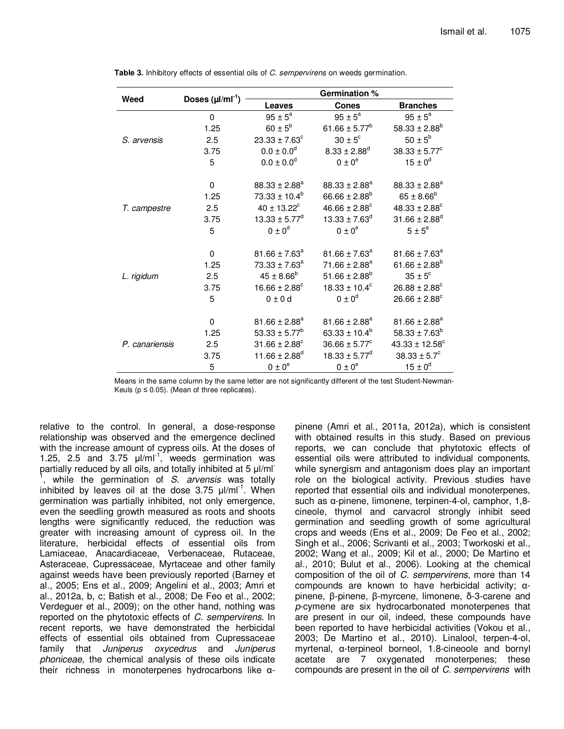|                | Doses $(\mu I/mI^{-1})$ | Germination %                 |                               |                                |  |
|----------------|-------------------------|-------------------------------|-------------------------------|--------------------------------|--|
| Weed           |                         | <b>Leaves</b>                 | <b>Cones</b>                  | <b>Branches</b>                |  |
|                | $\mathbf 0$             | $95 \pm 5^a$                  | $95 \pm 5^a$                  | $95 \pm 5^{\circ}$             |  |
|                | 1.25                    | $60 \pm 5^{\rm b}$            | 61.66 ± 5.77 <sup>b</sup>     | $58.33 \pm 2.88^b$             |  |
| S. arvensis    | 2.5                     | $23.33 \pm 7.63^c$            | $30 \pm 5^{\circ}$            | $50 \pm 5^{\rm b}$             |  |
|                | 3.75                    | $0.0 \pm 0.0$ <sup>d</sup>    | $8.33 \pm 2.88$ <sup>d</sup>  | $38.33 \pm 5.77^c$             |  |
|                | 5                       | $0.0 \pm 0.0$ <sup>d</sup>    | $0 \pm 0^e$                   | $15 \pm 0^d$                   |  |
|                | $\mathbf 0$             | $88.33 \pm 2.88^a$            | $88.33 \pm 2.88^a$            | $88.33 \pm 2.88^a$             |  |
|                | 1.25                    | $73.33 \pm 10.4^b$            | $66.66 \pm 2.88^b$            | $65 \pm 8.66^b$                |  |
| T. campestre   | 2.5                     | $40 \pm 13.22$ <sup>c</sup>   | $46.66 \pm 2.88$ <sup>c</sup> | $48.33 \pm 2.88$ <sup>c</sup>  |  |
|                | 3.75                    | $13.33 \pm 5.77^d$            | $13.33 \pm 7.63^d$            | $31.66 \pm 2.88$ <sup>d</sup>  |  |
|                | 5                       | $0 \pm 0^d$                   | $0 \pm 0^e$                   | $5 \pm 5^e$                    |  |
|                | 0                       | $81.66 \pm 7.63^a$            | $81.66 \pm 7.63^a$            | $81.66 \pm 7.63^a$             |  |
|                | 1.25                    | $73.33 \pm 7.63^a$            | $71.66 \pm 2.88^a$            | $61.66 \pm 2.88^b$             |  |
| L. rigidum     | 2.5                     | $45 \pm 8.66^{\circ}$         | $51.66 \pm 2.88^b$            | $35 \pm 5^{\circ}$             |  |
|                | 3.75                    | $16.66 \pm 2.88$ <sup>c</sup> | $18.33 \pm 10.4^c$            | $26.88 \pm 2.88$ <sup>c</sup>  |  |
|                | 5                       | $0 \pm 0 d$                   | $0 \pm 0^d$                   | $26.66 \pm 2.88$ <sup>c</sup>  |  |
|                | 0                       | $81.66 \pm 2.88^a$            | $81.66 \pm 2.88^a$            | $81.66 \pm 2.88^a$             |  |
|                | 1.25                    | $53.33 \pm 5.77^b$            | 63.33 ± $10.4^b$              | $58.33 \pm 7.63^b$             |  |
| P. canariensis | 2.5                     | $31.66 \pm 2.88$ <sup>c</sup> | $36.66 \pm 5.77^c$            | $43.33 \pm 12.58$ <sup>c</sup> |  |
|                | 3.75                    | 11.66 ± 2.88 $^{d}$           | $18.33 \pm 5.77^d$            | $38.33 \pm 5.7^c$              |  |
|                | 5                       | $0 \pm 0^{\rm e}$             | $0\pm0^\mathrm{e}$            | $15 \pm 0^d$                   |  |

**Table 3.** Inhibitory effects of essential oils of C. sempervirens on weeds germination.

Means in the same column by the same letter are not significantly different of the test Student-Newman-Keuls ( $p \le 0.05$ ). (Mean of three replicates).

relative to the control. In general, a dose-response relationship was observed and the emergence declined with the increase amount of cypress oils. At the doses of 1.25, 2.5 and 3.75  $\mu$ l/ml<sup>-1</sup>, weeds germination was partially reduced by all oils, and totally inhibited at 5 µl/ml <sup>1</sup>, while the germination of S. arvensis was totally inhibited by leaves oil at the dose  $3.75 \mu$ l/ml<sup>-1</sup>. When germination was partially inhibited, not only emergence, even the seedling growth measured as roots and shoots lengths were significantly reduced, the reduction was greater with increasing amount of cypress oil. In the literature, herbicidal effects of essential oils from Lamiaceae, Anacardiaceae, Verbenaceae, Rutaceae, Asteraceae, Cupressaceae, Myrtaceae and other family against weeds have been previously reported (Barney et al., 2005; Ens et al., 2009; Angelini et al., 2003; Amri et al., 2012a, b, c; Batish et al., 2008; De Feo et al., 2002; Verdeguer et al., 2009); on the other hand, nothing was reported on the phytotoxic effects of C. sempervirens. In recent reports, we have demonstrated the herbicidal effects of essential oils obtained from Cupressaceae family that Juniperus oxycedrus and Juniperus phoniceae, the chemical analysis of these oils indicate their richness in monoterpenes hydrocarbons like α-

pinene (Amri et al., 2011a, 2012a), which is consistent with obtained results in this study. Based on previous reports, we can conclude that phytotoxic effects of essential oils were attributed to individual components, while synergism and antagonism does play an important role on the biological activity. Previous studies have reported that essential oils and individual monoterpenes, such as α-pinene, limonene, terpinen-4-ol, camphor, 1,8 cineole, thymol and carvacrol strongly inhibit seed germination and seedling growth of some agricultural crops and weeds (Ens et al., 2009; De Feo et al., 2002; Singh et al., 2006; Scrivanti et al., 2003; Tworkoski et al., 2002; Wang et al., 2009; Kil et al., 2000; De Martino et al., 2010; Bulut et al., 2006). Looking at the chemical composition of the oil of C. sempervirens, more than 14 compounds are known to have herbicidal activity; αpinene, β-pinene, β-myrcene, limonene, δ-3-carene and p-cymene are six hydrocarbonated monoterpenes that are present in our oil, indeed, these compounds have been reported to have herbicidal activities (Vokou et al., 2003; De Martino et al., 2010). Linalool, terpen-4-ol, myrtenal, α-terpineol borneol, 1.8-cineoole and bornyl acetate are 7 oxygenated monoterpenes; these compounds are present in the oil of C. sempervirens with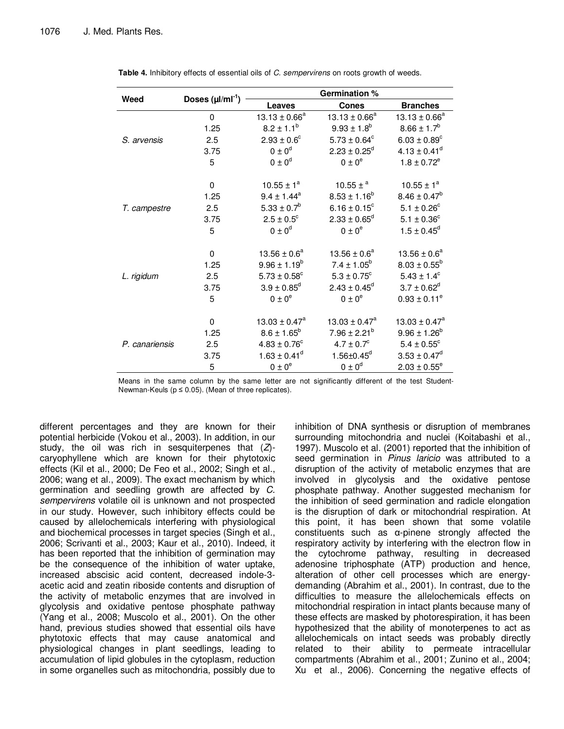|                | Doses $(\mu I/mI^{-1})$ | <b>Germination %</b>         |                              |                         |  |
|----------------|-------------------------|------------------------------|------------------------------|-------------------------|--|
| Weed           |                         | <b>Leaves</b>                | <b>Cones</b>                 | <b>Branches</b>         |  |
|                | 0                       | $13.13 \pm 0.66^a$           | $13.13 \pm 0.66^a$           | $13.13 \pm 0.66^a$      |  |
|                | 1.25                    | $8.2 \pm 1.1^b$              | $9.93 \pm 1.8^b$             | $8.66 \pm 1.7^b$        |  |
| S. arvensis    | 2.5                     | $2.93 \pm 0.6^{\circ}$       | $5.73 \pm 0.64^c$            | $6.03 \pm 0.89^c$       |  |
|                | 3.75                    | $0 \pm 0^d$                  | $2.23 \pm 0.25^d$            | $4.13 \pm 0.41^d$       |  |
|                | 5                       | $0 \pm 0^d$                  | $0 \pm 0^e$                  | $1.8 \pm 0.72^e$        |  |
|                | 0                       | $10.55 \pm 1^a$              | 10.55 $\pm$ <sup>a</sup>     | $10.55 \pm 1^a$         |  |
|                | 1.25                    | $9.4 \pm 1.44^a$             | $8.53 \pm 1.16^b$            | $8.46 \pm 0.47^b$       |  |
| T. campestre   | 2.5                     | $5.33 \pm 0.7^b$             | $6.16 \pm 0.15^c$            | $5.1 \pm 0.26^c$        |  |
|                | 3.75                    | $2.5 \pm 0.5^{\circ}$        | $2.33 \pm 0.65^d$            | $5.1 \pm 0.36^{\circ}$  |  |
|                | 5                       | $0 \pm 0^d$                  | $0 \pm 0^e$                  | $1.5 \pm 0.45^d$        |  |
|                | $\mathbf 0$             | $13.56 \pm 0.6^a$            | $13.56 \pm 0.6^a$            | $13.56 \pm 0.6^a$       |  |
|                | 1.25                    | $9.96 \pm 1.19^b$            | $7.4 \pm 1.05^b$             | $8.03 \pm 0.55^b$       |  |
| L. rigidum     | 2.5                     | $5.73 \pm 0.58$ <sup>c</sup> | $5.3 \pm 0.75^{\circ}$       | $5.43 \pm 1.4^c$        |  |
|                | 3.75                    | $3.9 \pm 0.85^d$             | $2.43 \pm 0.45^d$            | $3.7 \pm 0.62^d$        |  |
|                | 5                       | $0 \pm 0^e$                  | $0 \pm 0^e$                  | $0.93 \pm 0.11^e$       |  |
|                | 0                       | $13.03 \pm 0.47^a$           | $13.03 \pm 0.47^a$           | $13.03 \pm 0.47^a$      |  |
|                | 1.25                    | $8.6 \pm 1.65^b$             | $7.96 \pm 2.21^b$            | $9.96 \pm 1.26^b$       |  |
| P. canariensis | 2.5                     | $4.83 \pm 0.76^c$            | $4.7 \pm 0.7^{\circ}$        | $5.4 \pm 0.55^{\circ}$  |  |
|                | 3.75                    | $1.63 \pm 0.41^d$            | $1.56 \pm 0.45$ <sup>d</sup> | $3.53 \pm 0.47^d$       |  |
|                | 5                       | $0 \pm 0^e$                  | $0 \pm 0^d$                  | $2.03 \pm 0.55^{\circ}$ |  |

**Table 4.** Inhibitory effects of essential oils of C. sempervirens on roots growth of weeds.

Means in the same column by the same letter are not significantly different of the test Student-Newman-Keuls ( $p \le 0.05$ ). (Mean of three replicates).

different percentages and they are known for their potential herbicide (Vokou et al., 2003). In addition, in our study, the oil was rich in sesquiterpenes that  $(Z)$ caryophyllene which are known for their phytotoxic effects (Kil et al., 2000; De Feo et al., 2002; Singh et al., 2006; wang et al., 2009). The exact mechanism by which germination and seedling growth are affected by C. sempervirens volatile oil is unknown and not prospected in our study. However, such inhibitory effects could be caused by allelochemicals interfering with physiological and biochemical processes in target species (Singh et al., 2006; Scrivanti et al., 2003; Kaur et al., 2010). Indeed, it has been reported that the inhibition of germination may be the consequence of the inhibition of water uptake, increased abscisic acid content, decreased indole-3 acetic acid and zeatin riboside contents and disruption of the activity of metabolic enzymes that are involved in glycolysis and oxidative pentose phosphate pathway (Yang et al., 2008; Muscolo et al., 2001). On the other hand, previous studies showed that essential oils have phytotoxic effects that may cause anatomical and physiological changes in plant seedlings, leading to accumulation of lipid globules in the cytoplasm, reduction in some organelles such as mitochondria, possibly due to inhibition of DNA synthesis or disruption of membranes surrounding mitochondria and nuclei (Koitabashi et al., 1997). Muscolo et al. (2001) reported that the inhibition of seed germination in Pinus laricio was attributed to a disruption of the activity of metabolic enzymes that are involved in glycolysis and the oxidative pentose phosphate pathway. Another suggested mechanism for the inhibition of seed germination and radicle elongation is the disruption of dark or mitochondrial respiration. At this point, it has been shown that some volatile constituents such as α-pinene strongly affected the respiratory activity by interfering with the electron flow in the cytochrome pathway, resulting in decreased adenosine triphosphate (ATP) production and hence, alteration of other cell processes which are energydemanding (Abrahim et al., 2001). In contrast, due to the difficulties to measure the allelochemicals effects on mitochondrial respiration in intact plants because many of these effects are masked by photorespiration, it has been hypothesized that the ability of monoterpenes to act as allelochemicals on intact seeds was probably directly related to their ability to permeate intracellular compartments (Abrahim et al., 2001; Zunino et al., 2004; Xu et al., 2006). Concerning the negative effects of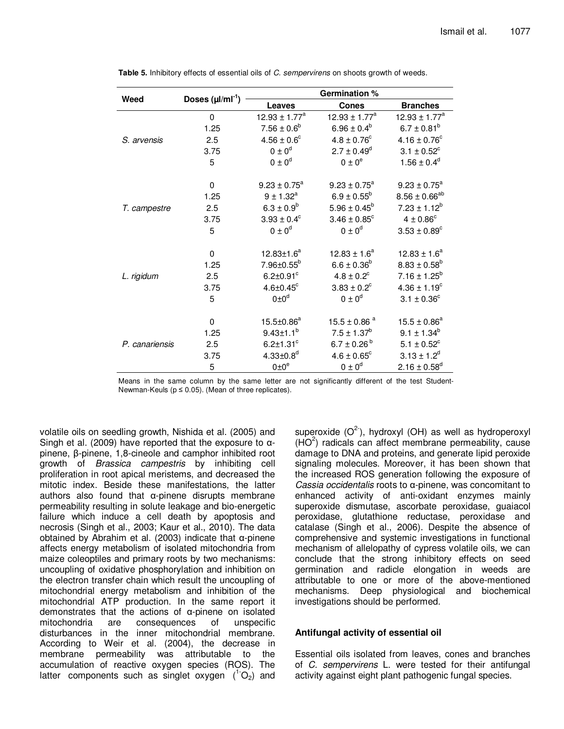|                | Doses $(\mu I/mI^{-1})$ | <b>Germination %</b>        |                              |                              |  |
|----------------|-------------------------|-----------------------------|------------------------------|------------------------------|--|
| Weed           |                         | <b>Leaves</b>               | <b>Cones</b>                 | <b>Branches</b>              |  |
|                | 0                       | $12.93 \pm 1.77^a$          | $12.93 \pm 1.77^a$           | $12.93 \pm 1.77^a$           |  |
|                | 1.25                    | $7.56 \pm 0.6^b$            | $6.96 \pm 0.4^b$             | $6.7 \pm 0.81^b$             |  |
| S. arvensis    | 2.5                     | $4.56 \pm 0.6^{\circ}$      | $4.8 \pm 0.76^{\circ}$       | $4.16 \pm 0.76^{\circ}$      |  |
|                | 3.75                    | $0 \pm 0^d$                 | $2.7 \pm 0.49^d$             | $3.1 \pm 0.52^c$             |  |
|                | 5                       | $0 \pm 0^d$                 | $0 \pm 0^e$                  | $1.56 \pm 0.4^d$             |  |
|                | 0                       | $9.23 \pm 0.75^a$           | $9.23 \pm 0.75^{\circ}$      | $9.23 \pm 0.75^a$            |  |
|                | 1.25                    | $9 \pm 1.32^a$              | $6.9 \pm 0.55^b$             | $8.56 \pm 0.66^{ab}$         |  |
| T. campestre   | 2.5                     | $6.3 \pm 0.9^b$             | $5.96 \pm 0.45^b$            | $7.23 \pm 1.12^b$            |  |
|                | 3.75                    | $3.93 \pm 0.4^c$            | $3.46 \pm 0.85^{\circ}$      | $4 \pm 0.86^{\circ}$         |  |
|                | 5                       | $0 \pm 0^d$                 | $0 \pm 0^d$                  | $3.53 \pm 0.89^{\circ}$      |  |
|                | 0                       | $12.83 \pm 1.6^a$           | $12.83 \pm 1.6^a$            | $12.83 \pm 1.6^a$            |  |
|                | 1.25                    | $7.96 \pm 0.55^b$           | $6.6 \pm 0.36^b$             | $8.83 \pm 0.58^b$            |  |
| L. rigidum     | 2.5                     | $6.2 \pm 0.91$ °            | $4.8 \pm 0.2^c$              | $7.16 \pm 1.25^b$            |  |
|                | 3.75                    | $4.6 \pm 0.45$ °            | $3.83 \pm 0.2^c$             | $4.36 \pm 1.19^c$            |  |
|                | 5                       | $0 \pm 0^d$                 | $0 \pm 0^d$                  | $3.1 \pm 0.36^{\circ}$       |  |
|                | 0                       | $15.5 \pm 0.86^a$           | $15.5 \pm 0.86$ <sup>a</sup> | $15.5 \pm 0.86^a$            |  |
|                | 1.25                    | $9.43 \pm 1.1^{b}$          | $7.5 \pm 1.37^b$             | $9.1 \pm 1.34^b$             |  |
| P. canariensis | 2.5                     | $6.2 \pm 1.31^c$            | $6.7 \pm 0.26^{b}$           | $5.1 \pm 0.52^c$             |  |
|                | 3.75                    | $4.33 \pm 0.8$ <sup>d</sup> | $4.6 \pm 0.65^{\circ}$       | $3.13 \pm 1.2^d$             |  |
|                | 5                       | $0 \pm 0^\circ$             | $0 \pm 0^d$                  | $2.16 \pm 0.58$ <sup>d</sup> |  |

**Table 5.** Inhibitory effects of essential oils of C. sempervirens on shoots growth of weeds.

Means in the same column by the same letter are not significantly different of the test Student-Newman-Keuls ( $p \le 0.05$ ). (Mean of three replicates).

volatile oils on seedling growth, Nishida et al. (2005) and Singh et al. (2009) have reported that the exposure to αpinene, β-pinene, 1,8-cineole and camphor inhibited root growth of Brassica campestris by inhibiting cell proliferation in root apical meristems, and decreased the mitotic index. Beside these manifestations, the latter authors also found that α-pinene disrupts membrane permeability resulting in solute leakage and bio-energetic failure which induce a cell death by apoptosis and necrosis (Singh et al., 2003; Kaur et al., 2010). The data obtained by Abrahim et al. (2003) indicate that α-pinene affects energy metabolism of isolated mitochondria from maize coleoptiles and primary roots by two mechanisms: uncoupling of oxidative phosphorylation and inhibition on the electron transfer chain which result the uncoupling of mitochondrial energy metabolism and inhibition of the mitochondrial ATP production. In the same report it demonstrates that the actions of α-pinene on isolated mitochondria are consequences of unspecific disturbances in the inner mitochondrial membrane. According to Weir et al. (2004), the decrease in membrane permeability was attributable to the accumulation of reactive oxygen species (ROS). The latter components such as singlet oxygen  $(^1O_2)$  and

superoxide  $(O<sup>2</sup>)$ , hydroxyl (OH) as well as hydroperoxyl  $(HO<sup>2</sup>)$  radicals can affect membrane permeability, cause damage to DNA and proteins, and generate lipid peroxide signaling molecules. Moreover, it has been shown that the increased ROS generation following the exposure of Cassia occidentalis roots to α-pinene, was concomitant to enhanced activity of anti-oxidant enzymes mainly superoxide dismutase, ascorbate peroxidase, guaiacol peroxidase, glutathione reductase, peroxidase and catalase (Singh et al., 2006). Despite the absence of comprehensive and systemic investigations in functional mechanism of allelopathy of cypress volatile oils, we can conclude that the strong inhibitory effects on seed germination and radicle elongation in weeds are attributable to one or more of the above-mentioned mechanisms. Deep physiological and biochemical investigations should be performed.

### **Antifungal activity of essential oil**

Essential oils isolated from leaves, cones and branches of C. sempervirens L. were tested for their antifungal activity against eight plant pathogenic fungal species.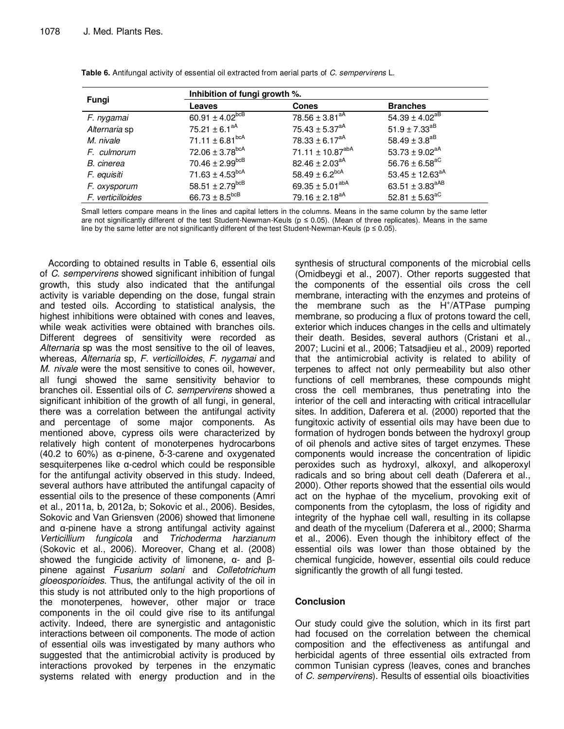|                   | Inhibition of fungi growth %.   |                                  |                                 |  |  |
|-------------------|---------------------------------|----------------------------------|---------------------------------|--|--|
| Fungi             | Leaves                          | <b>Cones</b>                     | <b>Branches</b>                 |  |  |
| F. nygamai        | 60.91 $\pm$ 4.02 <sup>bcB</sup> | $78.56 \pm 3.81^{aA}$            | $54.39 \pm 4.02^{aB}$           |  |  |
| Alternaria sp     | 75.21 $\pm$ 6.1 <sup>aA</sup>   | $75.43 \pm 5.37$ <sup>aA</sup>   | $51.9 \pm 7.33^{aB}$            |  |  |
| M. nivale         | 71.11 $\pm$ 6.81 <sup>bcA</sup> | 78.33 ± $6.17^{aA}$              | 58.49 ± $3.8^{aB}$              |  |  |
| F. culmorum       | $72.06 \pm 3.78$ <sup>bcA</sup> | 71.11 $\pm$ 10.87 <sup>abA</sup> | 53.73 ± $9.02^{aA}$             |  |  |
| B. cinerea        | $70.46 \pm 2.99$ <sup>bcB</sup> | $82.46 \pm 2.03$ <sup>aA</sup>   | 56.76 $\pm$ 6.58 <sup>aC</sup>  |  |  |
| F. equisiti       | 71.63 $\pm$ 4.53 <sup>bcA</sup> | 58.49 ± 6.2 <sup>bcA</sup>       | 53.45 ± 12.63 <sup>aA</sup>     |  |  |
| F. oxysporum      | $58.51 \pm 2.79$ <sup>bcB</sup> | 69.35 ± 5.01 <sup>abA</sup>      | 63.51 $\pm$ 3.83 <sup>aAB</sup> |  |  |
| F. verticilloides | 66.73 $\pm$ 8.5 <sup>bcB</sup>  | 79.16 ± 2.18 <sup>aA</sup>       | 52.81 $\pm$ 5.63 <sup>aC</sup>  |  |  |

**Table 6.** Antifungal activity of essential oil extracted from aerial parts of C. sempervirens L.

Small letters compare means in the lines and capital letters in the columns. Means in the same column by the same letter are not significantly different of the test Student-Newman-Keuls (p ≤ 0.05). (Mean of three replicates). Means in the same line by the same letter are not significantly different of the test Student-Newman-Keuls ( $p \le 0.05$ ).

According to obtained results in Table 6, essential oils of C. sempervirens showed significant inhibition of fungal growth, this study also indicated that the antifungal activity is variable depending on the dose, fungal strain and tested oils. According to statistical analysis, the highest inhibitions were obtained with cones and leaves, while weak activities were obtained with branches oils. Different degrees of sensitivity were recorded as Alternaria sp was the most sensitive to the oil of leaves, whereas, Alternaria sp, F. verticilloides, F. nygamai and M. nivale were the most sensitive to cones oil, however, all fungi showed the same sensitivity behavior to branches oil. Essential oils of C. sempervirens showed a significant inhibition of the growth of all fungi, in general, there was a correlation between the antifungal activity and percentage of some major components. As mentioned above, cypress oils were characterized by relatively high content of monoterpenes hydrocarbons (40.2 to 60%) as α-pinene, δ-3-carene and oxygenated sesquiterpenes like α-cedrol which could be responsible for the antifungal activity observed in this study. Indeed, several authors have attributed the antifungal capacity of essential oils to the presence of these components (Amri et al., 2011a, b, 2012a, b; Sokovic et al., 2006). Besides, Sokovic and Van Griensven (2006) showed that limonene and α-pinene have a strong antifungal activity against Verticillium fungicola and Trichoderma harzianum (Sokovic et al., 2006). Moreover, Chang et al. (2008) showed the fungicide activity of limonene,  $\alpha$ - and βpinene against Fusarium solani and Colletotrichum gloeosporioides. Thus, the antifungal activity of the oil in this study is not attributed only to the high proportions of the monoterpenes, however, other major or trace components in the oil could give rise to its antifungal activity. Indeed, there are synergistic and antagonistic interactions between oil components. The mode of action of essential oils was investigated by many authors who suggested that the antimicrobial activity is produced by interactions provoked by terpenes in the enzymatic systems related with energy production and in the

synthesis of structural components of the microbial cells (Omidbeygi et al., 2007). Other reports suggested that the components of the essential oils cross the cell membrane, interacting with the enzymes and proteins of the membrane such as the H<sup>+</sup>/ATPase pumping membrane, so producing a flux of protons toward the cell, exterior which induces changes in the cells and ultimately their death. Besides, several authors (Cristani et al., 2007; Lucini et al., 2006; Tatsadjieu et al., 2009) reported that the antimicrobial activity is related to ability of terpenes to affect not only permeability but also other functions of cell membranes, these compounds might cross the cell membranes, thus penetrating into the interior of the cell and interacting with critical intracellular sites. In addition, Daferera et al. (2000) reported that the fungitoxic activity of essential oils may have been due to formation of hydrogen bonds between the hydroxyl group of oil phenols and active sites of target enzymes. These components would increase the concentration of lipidic peroxides such as hydroxyl, alkoxyl, and alkoperoxyl radicals and so bring about cell death (Daferera et al., 2000). Other reports showed that the essential oils would act on the hyphae of the mycelium, provoking exit of components from the cytoplasm, the loss of rigidity and integrity of the hyphae cell wall, resulting in its collapse and death of the mycelium (Daferera et al., 2000; Sharma et al., 2006). Even though the inhibitory effect of the essential oils was lower than those obtained by the chemical fungicide, however, essential oils could reduce significantly the growth of all fungi tested.

### **Conclusion**

Our study could give the solution, which in its first part had focused on the correlation between the chemical composition and the effectiveness as antifungal and herbicidal agents of three essential oils extracted from common Tunisian cypress (leaves, cones and branches of C. sempervirens). Results of essential oils bioactivities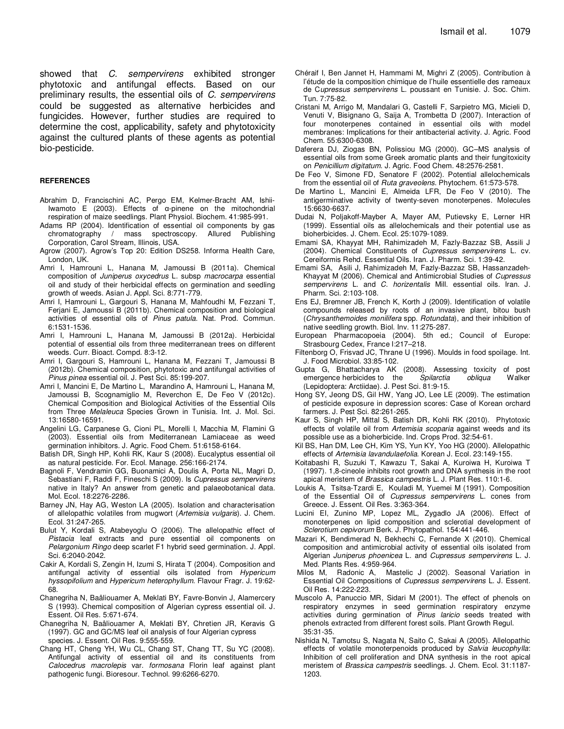showed that C. sempervirens exhibited stronger phytotoxic and antifungal effects. Based on our preliminary results, the essential oils of C. sempervirens could be suggested as alternative herbicides and fungicides. However, further studies are required to determine the cost, applicability, safety and phytotoxicity against the cultured plants of these agents as potential bio-pesticide.

#### **REFERENCES**

- Abrahim D, Francischini AC, Pergo EM, Kelmer-Bracht AM, Ishii-Iwamoto E (2003). Effects of α-pinene on the mitochondrial respiration of maize seedlings. Plant Physiol. Biochem. 41:985-991.
- Adams RP (2004). Identification of essential oil components by gas chromatography / mass spectroscopy. Allured Publishing Corporation, Carol Stream, Illinois, USA.
- Agrow (2007). Agrow's Top 20: Edition DS258. Informa Health Care, London, UK.
- Amri I, Hamrouni L, Hanana M, Jamoussi B (2011a). Chemical composition of Juniperus oxycedrus L. subsp macrocarpa essential oil and study of their herbicidal effects on germination and seedling growth of weeds. Asian J. Appl. Sci. 8:771-779.
- Amri I, Hamrouni L, Gargouri S, Hanana M, Mahfoudhi M, Fezzani T, Ferjani E, Jamoussi B (2011b). Chemical composition and biological activities of essential oils of Pinus patula. Nat. Prod. Commun. 6:1531-1536.
- Amri I, Hamrouni L, Hanana M, Jamoussi B (2012a). Herbicidal potential of essential oils from three mediterranean trees on different weeds. Curr. Bioact. Compd. 8:3-12.
- Amri I, Gargouri S, Hamrouni L, Hanana M, Fezzani T, Jamoussi B (2012b). Chemical composition, phytotoxic and antifungal activities of Pinus pinea essential oil. J. Pest Sci. 85:199-207.
- Amri I, Mancini E, De Martino L, Marandino A, Hamrouni L, Hanana M, Jamoussi B, Scognamiglio M, Reverchon E, De Feo V (2012c). Chemical Composition and Biological Activities of the Essential Oils from Three Melaleuca Species Grown in Tunisia. Int. J. Mol. Sci. 13:16580-16591.
- Angelini LG, Carpanese G, Cioni PL, Morelli I, Macchia M, Flamini G (2003). Essential oils from Mediterranean Lamiaceae as weed germination inhibitors. J. Agric. Food Chem. 51:6158-6164.
- Batish DR, Singh HP, Kohli RK, Kaur S (2008). Eucalyptus essential oil as natural pesticide. For. Ecol. Manage. 256:166-2174.
- Bagnoli F, Vendramin GG, Buonamici A, Doulis A, Porta NL, Magri D, Sebastiani F, Raddi F, Fineschi S (2009). Is Cupressus sempervirens native in Italy? An answer from genetic and palaeobotanical data. Mol. Ecol. 18:2276-2286.
- Barney JN, Hay AG, Weston LA (2005). Isolation and characterisation of allelopathic volatiles from mugwort (Artemisia vulgaris). J. Chem. Ecol. 31:247-265.
- Bulut Y, Kordali S, Atabeyoglu O (2006). The allelopathic effect of Pistacia leaf extracts and pure essential oil components on Pelargonium Ringo deep scarlet F1 hybrid seed germination. J. Appl. Sci. 6:2040-2042.
- Cakir A, Kordali S, Zengin H, Izumi S, Hirata T (2004). Composition and antifungal activity of essential oils isolated from Hypericum hyssopifolium and Hypericum heterophyllum. Flavour Fragr. J. 19:62- 68.
- Chanegriha N, Baâliouamer A, Meklati BY, Favre-Bonvin J, Alamercery S (1993). Chemical composition of Algerian cypress essential oil. J. Essent. Oil Res. 5:671-674.
- Chanegriha N, Baâliouamer A, Meklati BY, Chretien JR, Keravis G (1997). GC and GC/MS leaf oil analysis of four Algerian cypress species. J. Essent. Oil Res. 9:555-559.
- Chang HT, Cheng YH, Wu CL, Chang ST, Chang TT, Su YC (2008). Antifungal activity of essential oil and its constituents from Calocedrus macrolepis var. formosana Florin leaf against plant pathogenic fungi. Bioresour. Technol. 99:6266-6270.
- Chéraif I, Ben Jannet H, Hammami M, Mighri Z (2005). Contribution à l'étude de la composition chimique de l'huile essentielle des rameaux de Cupressus sempervirens L. poussant en Tunisie. J. Soc. Chim. Tun. 7:75-82.
- Cristani M, Arrigo M, Mandalari G, Castelli F, Sarpietro MG, Micieli D, Venuti V, Bisignano G, Saija A, Trombetta D (2007). Interaction of four monoterpenes contained in essential oils with model membranes: Implications for their antibacterial activity. J. Agric. Food Chem. 55:6300-6308.
- Daferera DJ, Ziogas BN, Polissiou MG (2000). GC–MS analysis of essential oils from some Greek aromatic plants and their fungitoxicity on Penicillium digitatum. J. Agric. Food Chem. 48:2576-2581.
- De Feo V, Simone FD, Senatore F (2002). Potential allelochemicals from the essential oil of Ruta graveolens. Phytochem. 61:573-578.
- De Martino L, Mancini E, Almeida LFR, De Feo V (2010). The antigerminative activity of twenty-seven monoterpenes. Molecules 15:6630-6637.
- Dudai N, Poljakoff-Mayber A, Mayer AM, Putievsky E, Lerner HR (1999). Essential oils as allelochemicals and their potential use as bioherbicides. J. Chem. Ecol. 25:1079-1089.
- Emami SA, Khayyat MH, Rahimizadeh M, Fazly-Bazzaz SB, Assili J (2004). Chemical Constituents of Cupressus sempervirens L. cv. Cereiformis Rehd. Essential Oils. Iran. J. Pharm. Sci. 1:39-42.
- Emami SA, Asili J, Rahimizadeh M, Fazly-Bazzaz SB, Hassanzadeh-Khayyat M (2006). Chemical and Antimicrobial Studies of Cupressus sempervirens L. and C. horizentalis Mill. essential oils. Iran. J. Pharm. Sci. 2:103-108.
- Ens EJ, Bremner JB, French K, Korth J (2009). Identification of volatile compounds released by roots of an invasive plant, bitou bush (Chrysanthemoides monilifera spp. Rotundata), and their inhibition of native seedling growth. Biol. Inv. 11:275-287.
- European Pharmacopoeia (2004). 5th ed.; Council of Europe: Strasbourg Cedex, France I:217–218.
- Filtenborg O, Frisvad JC, Thrane U (1996). Moulds in food spoilage. Int. J. Food Microbiol. 33:85-102.
- Gupta G, Bhattacharya AK (2008). Assessing toxicity of post emergence herbicides to the Spilarctia obliqua Walker (Lepidoptera: Arctiidae). J. Pest Sci. 81:9-15.
- Hong SY, Jeong DS, Gil HW, Yang JO, Lee LE (2009). The estimation of pesticide exposure in depression scores: Case of Korean orchard farmers. J. Pest Sci. 82:261-265.
- Kaur S, Singh HP, Mittal S, Batish DR, Kohli RK (2010). Phytotoxic effects of volatile oil from Artemisia scoparia against weeds and its possible use as a bioherbicide. Ind. Crops Prod. 32:54-61.
- Kil BS, Han DM, Lee CH, Kim YS, Yun KY, Yoo HG (2000). Allelopathic effects of Artemisia lavandulaefolia. Korean J. Ecol. 23:149-155.
- Koitabashi R, Suzuki T, Kawazu T, Sakai A, Kuroiwa H, Kuroiwa T (1997). 1,8-cineole inhibits root growth and DNA synthesis in the root apical meristem of Brassica campestris L. J. Plant Res. 110:1-6.
- Loukis A, Tsitsa-Tzardi E, Kouladi M, Yuemei M (1991). Composition of the Essential Oil of Cupressus sempervirens L. cones from Greece. J. Essent. Oil Res. 3:363-364.
- Lucini EI, Zunino MP, Lopez ML, Zygadlo JA (2006). Effect of monoterpenes on lipid composition and sclerotial development of Sclerotium cepivorum Berk. J. Phytopathol. 154:441-446.
- Mazari K, Bendimerad N, Bekhechi C, Fernande X (2010). Chemical composition and antimicrobial activity of essential oils isolated from Algerian Juniperus phoenicea L. and Cupressus sempervirens L. J. Med. Plants Res. 4:959-964.
- Milos M, Radonic A, Mastelic J (2002). Seasonal Variation in Essential Oil Compositions of Cupressus sempervirens L. J. Essent. Oil Res. 14:222-223.
- Muscolo A, Panuccio MR, Sidari M (2001). The effect of phenols on respiratory enzymes in seed germination respiratory enzyme activities during germination of Pinus laricio seeds treated with phenols extracted from different forest soils. Plant Growth Regul. 35:31-35.
- Nishida N, Tamotsu S, Nagata N, Saito C, Sakai A (2005). Allelopathic effects of volatile monoterpenoids produced by Salvia leucophylla: Inhibition of cell proliferation and DNA synthesis in the root apical meristem of Brassica campestris seedlings. J. Chem. Ecol. 31:1187- 1203.